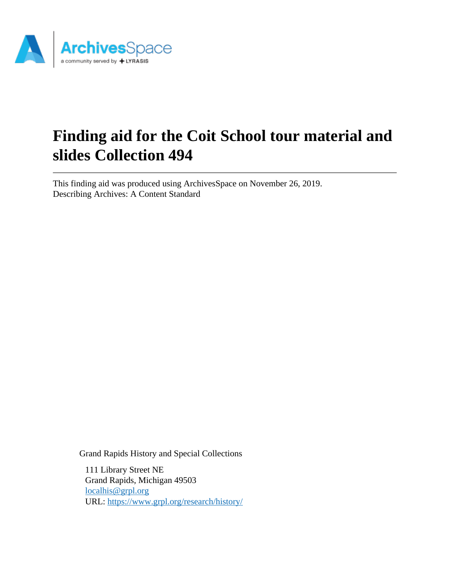

# **Finding aid for the Coit School tour material and slides Collection 494**

This finding aid was produced using ArchivesSpace on November 26, 2019. Describing Archives: A Content Standard

Grand Rapids History and Special Collections

111 Library Street NE Grand Rapids, Michigan 49503 [localhis@grpl.org](mailto:localhis@grpl.org) URL:<https://www.grpl.org/research/history/>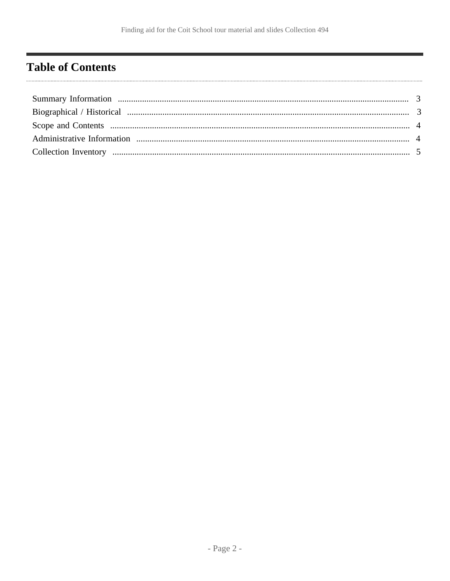### <span id="page-1-0"></span>**Table of Contents**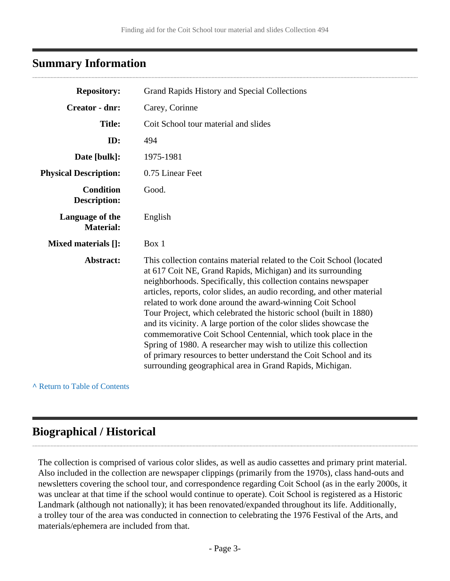### <span id="page-2-0"></span>**Summary Information**

| <b>Repository:</b>                      | Grand Rapids History and Special Collections                                                                                                                                                                                                                                                                                                                                                                                                                                                                                                                                                                                                                                                                                                                      |
|-----------------------------------------|-------------------------------------------------------------------------------------------------------------------------------------------------------------------------------------------------------------------------------------------------------------------------------------------------------------------------------------------------------------------------------------------------------------------------------------------------------------------------------------------------------------------------------------------------------------------------------------------------------------------------------------------------------------------------------------------------------------------------------------------------------------------|
| <b>Creator - dnr:</b>                   | Carey, Corinne                                                                                                                                                                                                                                                                                                                                                                                                                                                                                                                                                                                                                                                                                                                                                    |
| <b>Title:</b>                           | Coit School tour material and slides                                                                                                                                                                                                                                                                                                                                                                                                                                                                                                                                                                                                                                                                                                                              |
| ID:                                     | 494                                                                                                                                                                                                                                                                                                                                                                                                                                                                                                                                                                                                                                                                                                                                                               |
| Date [bulk]:                            | 1975-1981                                                                                                                                                                                                                                                                                                                                                                                                                                                                                                                                                                                                                                                                                                                                                         |
| <b>Physical Description:</b>            | 0.75 Linear Feet                                                                                                                                                                                                                                                                                                                                                                                                                                                                                                                                                                                                                                                                                                                                                  |
| <b>Condition</b><br><b>Description:</b> | Good.                                                                                                                                                                                                                                                                                                                                                                                                                                                                                                                                                                                                                                                                                                                                                             |
| Language of the<br><b>Material:</b>     | English                                                                                                                                                                                                                                                                                                                                                                                                                                                                                                                                                                                                                                                                                                                                                           |
| Mixed materials []:                     | Box 1                                                                                                                                                                                                                                                                                                                                                                                                                                                                                                                                                                                                                                                                                                                                                             |
| Abstract:                               | This collection contains material related to the Coit School (located<br>at 617 Coit NE, Grand Rapids, Michigan) and its surrounding<br>neighborhoods. Specifically, this collection contains newspaper<br>articles, reports, color slides, an audio recording, and other material<br>related to work done around the award-winning Coit School<br>Tour Project, which celebrated the historic school (built in 1880)<br>and its vicinity. A large portion of the color slides showcase the<br>commemorative Coit School Centennial, which took place in the<br>Spring of 1980. A researcher may wish to utilize this collection<br>of primary resources to better understand the Coit School and its<br>surrounding geographical area in Grand Rapids, Michigan. |

**^** [Return to Table of Contents](#page-1-0)

### <span id="page-2-1"></span>**Biographical / Historical**

The collection is comprised of various color slides, as well as audio cassettes and primary print material. Also included in the collection are newspaper clippings (primarily from the 1970s), class hand-outs and newsletters covering the school tour, and correspondence regarding Coit School (as in the early 2000s, it was unclear at that time if the school would continue to operate). Coit School is registered as a Historic Landmark (although not nationally); it has been renovated/expanded throughout its life. Additionally, a trolley tour of the area was conducted in connection to celebrating the 1976 Festival of the Arts, and materials/ephemera are included from that.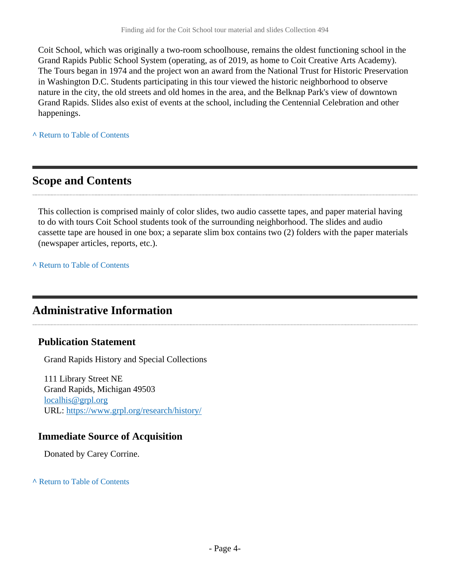Coit School, which was originally a two-room schoolhouse, remains the oldest functioning school in the Grand Rapids Public School System (operating, as of 2019, as home to Coit Creative Arts Academy). The Tours began in 1974 and the project won an award from the National Trust for Historic Preservation in Washington D.C. Students participating in this tour viewed the historic neighborhood to observe nature in the city, the old streets and old homes in the area, and the Belknap Park's view of downtown Grand Rapids. Slides also exist of events at the school, including the Centennial Celebration and other happenings.

**^** [Return to Table of Contents](#page-1-0)

### <span id="page-3-0"></span>**Scope and Contents**

This collection is comprised mainly of color slides, two audio cassette tapes, and paper material having to do with tours Coit School students took of the surrounding neighborhood. The slides and audio cassette tape are housed in one box; a separate slim box contains two (2) folders with the paper materials (newspaper articles, reports, etc.).

**^** [Return to Table of Contents](#page-1-0)

### <span id="page-3-1"></span>**Administrative Information**

#### **Publication Statement**

Grand Rapids History and Special Collections

111 Library Street NE Grand Rapids, Michigan 49503 [localhis@grpl.org](mailto:localhis@grpl.org) URL:<https://www.grpl.org/research/history/>

#### **Immediate Source of Acquisition**

Donated by Carey Corrine.

**^** [Return to Table of Contents](#page-1-0)